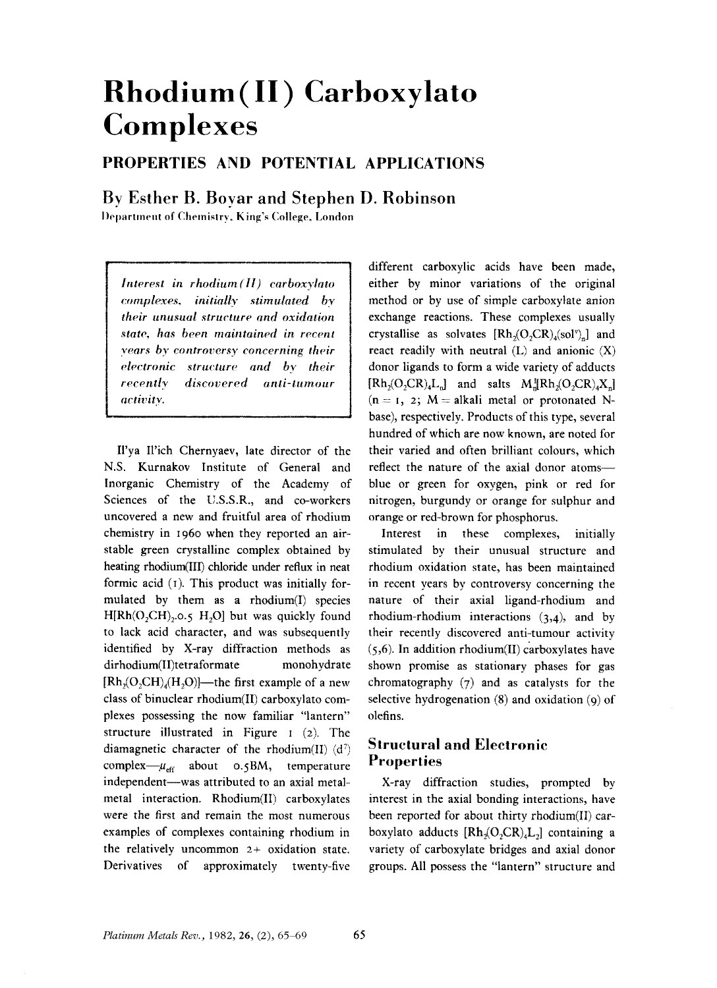# **Rhodium(II)** Carboxylato **Complexes**

## PROPERTIES AND POTENTIAL APPLICATIONS

### By Esther B. Boyar and Stephen D. Robinson

Department of Chemistry, King's College, London

Interest in rhodium(II) carboxylato complexes, initially stimulated by their unusual structure and oxidation state, has been maintained in recent vears by controversy concerning their electronic structure and by their discovered anti-tumour recently activity.

Il'ya Il'ich Chernyaev, late director of the N.S. Kurnakov Institute of General and Inorganic Chemistry of the Academy of Sciences of the U.S.S.R., and co-workers uncovered a new and fruitful area of rhodium chemistry in 1960 when they reported an airstable green crystalline complex obtained by heating rhodium(III) chloride under reflux in neat formic acid (1). This product was initially formulated by them as a rhodium(I) species  $H[Rh(O_2CH)_2.0.5 H_2O]$  but was quickly found to lack acid character, and was subsequently identified by X-ray diffraction methods as dirhodium(II)tetraformate monohydrate  $[Rh,(O,CH)_{4}(H,O)]$ —the first example of a new class of binuclear rhodium(II) carboxylato complexes possessing the now familiar "lantern" structure illustrated in Figure  $1$  (2). The diamagnetic character of the rhodium(II)  $(d<sup>7</sup>)$ complex- $\mu_{\text{eff}}$  about 0.5BM, temperature independent--was attributed to an axial metalmetal interaction. Rhodium(II) carboxylates were the first and remain the most numerous examples of complexes containing rhodium in the relatively uncommon  $2+$  oxidation state. Derivatives of approximately twenty-five

different carboxylic acids have been made, either by minor variations of the original method or by use of simple carboxylate anion exchange reactions. These complexes usually crystallise as solvates  $[Rh_2(O_2CR)_4(sol^v)]$  and react readily with neutral  $(L)$  and anionic  $(X)$ donor ligands to form a wide variety of adducts  $[Rh_2(O,CR)_4L_n]$  and salts  $M_n^H Rh_2(O_2CR)_4X_n]$  $(n = 1, 2; M = alkali$  metal or protonated Nbase), respectively. Products of this type, several hundred of which are now known, are noted for their varied and often brilliant colours, which reflect the nature of the axial donor atomsblue or green for oxygen, pink or red for nitrogen, burgundy or orange for sulphur and orange or red-brown for phosphorus.

Interest in these complexes, initially stimulated by their unusual structure and rhodium oxidation state, has been maintained in recent years by controversy concerning the nature of their axial ligand-rhodium and rhodium-rhodium interactions (3,4), and by their recently discovered anti-tumour activity  $(5,6)$ . In addition rhodium(II) carboxylates have shown promise as stationary phases for gas chromatography  $(7)$  and as catalysts for the selective hydrogenation  $(8)$  and oxidation  $(q)$  of olefins.

#### **Structural and Electronic Properties**

X-ray diffraction studies, prompted by interest in the axial bonding interactions, have been reported for about thirty rhodium(II) carboxylato adducts  $[Rh_2(O_2CR)_4L_2]$  containing a variety of carboxylate bridges and axial donor groups. All possess the "lantern" structure and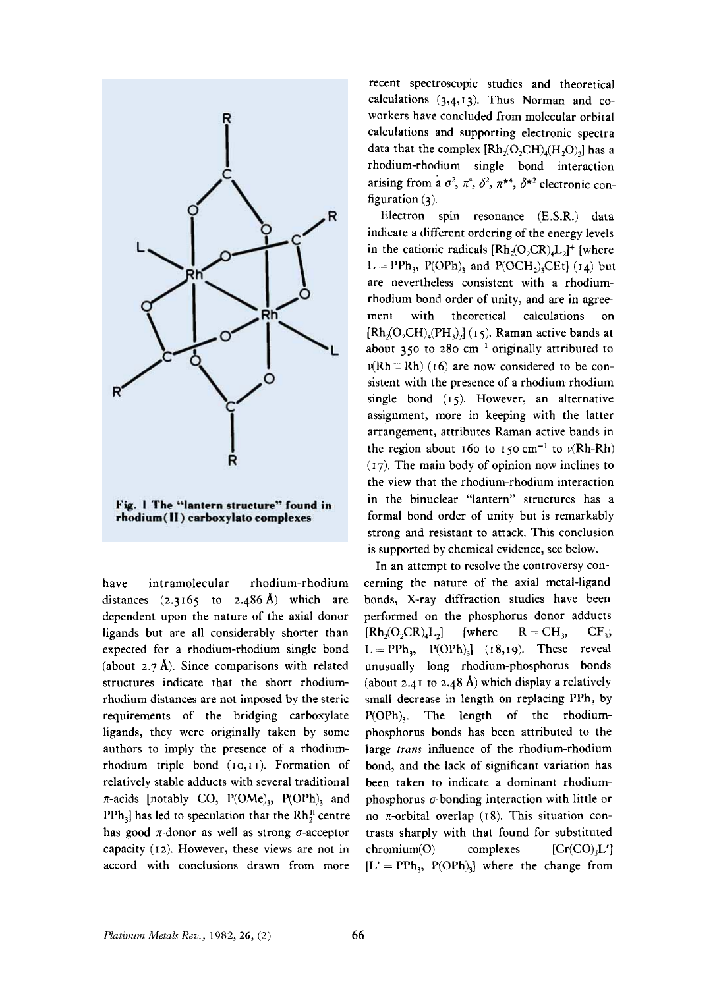

have intramolecular rhodium-rhodium distances (2.3165 to 2.486 **A)** which are dependent upon the nature of the axial donor ligands but are all considerably shorter than expected for a rhodium-rhodium single bond (about  $2.7 \text{ Å}$ ). Since comparisons with related structures indicate that the short rhodiumrhodium distances are not imposed by the steric requirements of the bridging carboxylate ligands, they were originally taken by some authors to imply the presence of a rhodiumrhodium triple bond (IO,T I). Formation of relatively stable adducts with several traditional  $\pi$ -acids [notably CO, P(OMe)<sub>3</sub>, P(OPh)<sub>3</sub> and PPh<sub>3</sub> has led to speculation that the  $Rh_2^H$  centre has good  $\pi$ -donor as well as strong  $\sigma$ -acceptor capacity (12). However, these views are not in accord with conclusions drawn from more

recent spectroscopic studies and theoretical calculations (3,4,13). Thus Norman and coworkers have concluded from molecular orbital calculations and supporting electronic spectra data that the complex  $[Rh_2(O_2CH)_4(H_2O)_2]$  has a rhodium-rhodium single bond interaction arising from a  $\sigma^2$ ,  $\pi^4$ ,  $\delta^2$ ,  $\pi^{*4}$ ,  $\delta^{*2}$  electronic configuration **(3).** 

Electron spin resonance (E.S.R.) data indicate a different ordering of the energy levels in the cationic radicals  $[Rh_2(O_2CR)_4L_2]^+$  [where  $L = PPh_3$ , P(OPh)<sub>3</sub> and P(OCH<sub>2</sub>)<sub>3</sub>CEt] ( $I_4$ ) but are nevertheless consistent with a rhodiumrhodium bond order of unity, and are in agreement with theoretical calculations on  $[Rh<sub>2</sub>(O<sub>2</sub>CH)<sub>4</sub>(PH<sub>3</sub>)<sub>2</sub>]$  (15). Raman active bands at about  $350$  to 280 cm<sup>-1</sup> originally attributed to  $\nu(Rh = Rh)$  (16) are now considered to be consistent with the presence of a rhodium-rhodium single bond (I *5).* However, an alternative assignment, more in keeping with the latter arrangement, attributes Raman active bands in the region about 160 to 150 cm<sup>-1</sup> to  $v(Rh-Rh)$  $(17)$ . The main body of opinion now inclines to the view that the rhodium-rhodium interaction in the binuclear "lantern" structures has a formal bond order of unity but is remarkably strong and resistant to attack. This conclusion is supported by chemical evidence, see below.

In an attempt to resolve the controversy concerning the nature of the axial metal-ligand bonds, X-ray diffraction studies have been performed on the phosphorus donor adducts  $[Rh_0(O_2CR)_4L_2]$  [where  $R = CH_3$ ,  $CF_3$ ;  $L = PPh_3$ ,  $P(OPh)_3$ ] (18,19). These reveal unusually long rhodium-phosphorus bonds (about 2.41 to 2.48 **A)** which display a relatively small decrease in length on replacing PPh, by P(OPh),. The length of the rhodiumphosphorus bonds has been attributed to the large *trans* influence of the rhodium-rhodium bond, and the lack of significant variation has been taken to indicate a dominant rhodiumphosphorus  $\sigma$ -bonding interaction with little or no  $\pi$ -orbital overlap (18). This situation contrasts sharply with that found for substituted  $chromium(O)$  complexes  $[Cr(CO),L']$  $[L' = PPh_3, P(OPh)_3]$  where the change from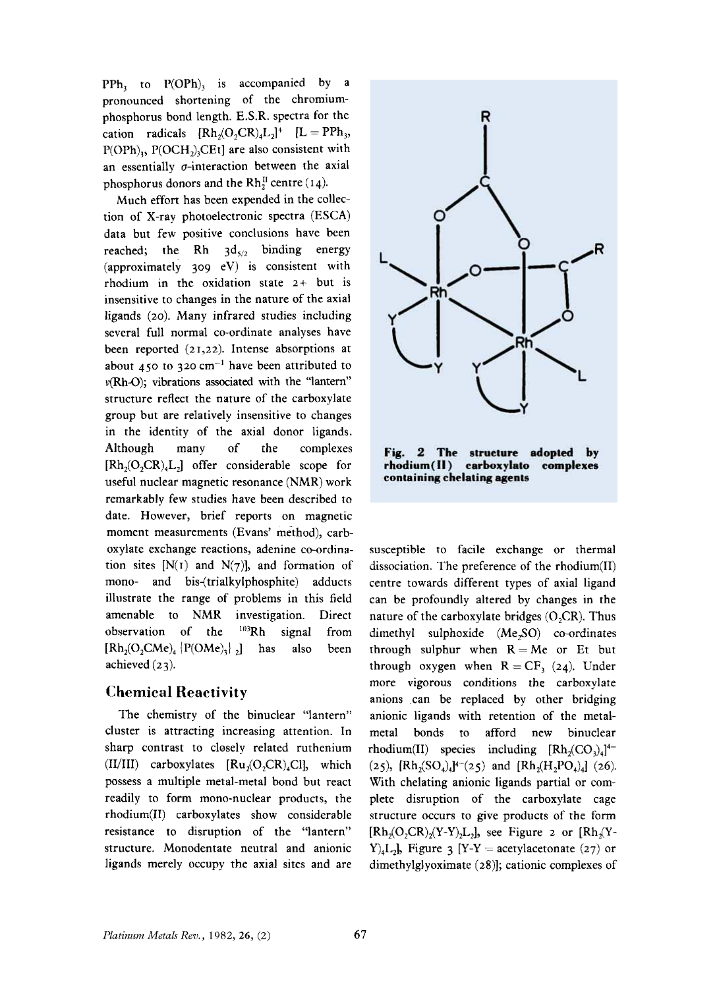$PPh_1$  to  $P(OPh)$ , is accompanied by a pronounced shortening of the chromiumphosphorus bond length. E.S.R. spectra for the cation radicals  $[Rh_2(O_2CR)_4L_2]^+$   $[L = PPh_3,$  $P(OPh)$ <sub>3</sub>,  $P(OCH<sub>2</sub>)$ <sub>3</sub>CEt] are also consistent with an essentially  $\sigma$ -interaction between the axial phosphorus donors and the  $Rh_2^{\text{II}}$  centre  $(14)$ .

Much effort has been expended in the collection of X-ray photoelectronic spectra (ESCA) data but few positive conclusions have been reached; the Rh  $3d_{5/2}$  binding energy (approximately *309* eV) is consistent with rhodium in the oxidation state *2+* but is insensitive to changes in the nature of the axial ligands (20). Many infrared studies including several full normal co-ordinate analyses have been reported (21,22). Intense absorptions at about  $450$  to  $320 \text{ cm}^{-1}$  have been attributed to v(Rh-0); vibrations associated with the ''lantern'' structure reflect the nature of the carboxylate group but are relatively insensitive to changes in the identity of the axial donor ligands. Although many of the complexes  $[Rh_2(O,CR)_4L_2]$  offer considerable scope for useful nuclear magnetic resonance (NMR) work remarkably few studies have been described to date. However, brief reports on magnetic moment measurements (Evans' method), carboxylate exchange reactions, adenine co-ordination sites  $[N(T)]$  and  $N(T)$ ], and formation of mono- and bis-(trialkylphosphite) adducts illustrate the range of problems in this field amenable to **NMR** investigation. Direct observation of the <sup>103</sup>Rh signal from  $[Rh<sub>2</sub>(O<sub>2</sub>CMe)<sub>4</sub>$  {P(OMe)<sub>3</sub>}, has also been achieved (23).

#### **Chemical Reactivity**

The chemistry of the binuclear "lantern" cluster is attracting increasing attention. In sharp contrast to closely related ruthenium  $(II/III)$  carboxylates  $[Ru, (O, CR), Cl]$ , which possess a multiple metal-metal bond but react readily to form mono-nuclear products, the rhodium(I1) carboxylates show considerable resistance to disruption of the "lantern" structure. Monodentate neutral and anionic ligands merely occupy the axial sites and are



susceptible to facile exchange or thermal dissociation. The preference of the rhodium(1I) centre towards different types of axial ligand can be profoundly altered by changes in the nature of the carboxylate bridges (0,CR). Thus dimethyl sulphoxide (Me,SO) co-ordinates through sulphur when  $R=Me$  or Et but through oxygen when  $R = CF$ , (24). Under more vigorous conditions the carboxylate anions can be replaced by other bridging anionic ligands with retention of the metalmetal bonds to afford new binuclear rhodium(II) species including  $[Rh_2(CO_3)_4]^{4-}$ With chelating anionic ligands partial **or** complete disruption of the carboxylate cage structure occurs to give products of the form  $[Rh<sub>2</sub>(O<sub>2</sub>CR)<sub>2</sub>(Y-Y)<sub>2</sub>L<sub>2</sub>]$ , see Figure 2 or  $[Rh<sub>2</sub>(Y-Y)<sub>2</sub>$  $Y$ <sub>4</sub>L<sub>2</sub>**}**, Figure 3 [Y-Y = acetylacetonate (27) or dimethylglyoximate **(28)];** cationic complexes of  $(25)$ ,  $[Rh_2(SO_4)_4]^{4-}(25)$  and  $[Rh_2(H_2PO_4)_4]$  (26).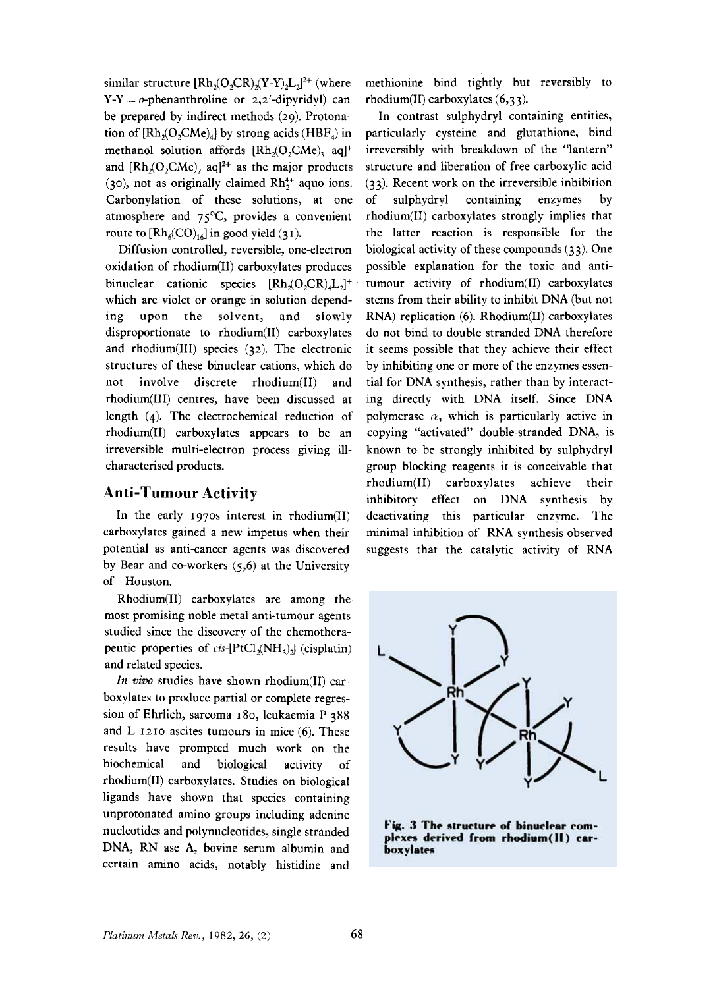similar structure  $[Rh<sub>2</sub>(O<sub>2</sub>CR)<sub>2</sub>(Y-Y)<sub>2</sub>L<sub>2</sub>]<sup>2+</sup>$  (where  $Y-Y = 0$ -phenanthroline or 2,2'-dipyridyl) can be prepared by indirect methods (29). Protonation of [Rh,(O,CMe),] by strong acids **(HBF,)** in methanol solution affords  $[Rh<sub>2</sub>(O<sub>2</sub>CMe)<sub>3</sub>$  aq]<sup>+</sup> and  $[Rh<sub>2</sub>(O, CMe)<sub>2</sub>$  aq<sup>2+</sup> as the major products (30), not as originally claimed  $Rh<sub>2</sub><sup>4+</sup>$  aquo ions. Carbonylation of these solutions, at one atmosphere and 75'C, provides a convenient route to  $[Rh_6(CO)_{16}]$  in good yield (31).

Diffusion controlled, reversible, one-electron oxidation of rhodium(I1) carboxylates produces binuclear cationic species  $[Rh<sub>2</sub>(O<sub>2</sub>CR)<sub>a</sub>]<sup>+</sup>$ which are violet or orange in solution depending upon the solvent, and slowly disproportionate to rhodium(I1) carboxylates and rhodium(II1) species (32). The electronic structures of these binuclear cations, which do not involve discrete rhodium(I1) and rhodium(II1) centres, have been discussed at length (4). The electrochemical reduction of rhodium(I1) carboxylates appears to be an irreversible multi-electron process giving illcharacterised products.

#### **Anti-Tumour Activity**

In the early 1970s interest in rhodium(I1) carboxylates gained a new impetus when their potential as anti-cancer agents was discovered by Bear and co-workers *(5,6)* at the University of Houston.

Rhodium(I1) carboxylates are among the most promising noble metal anti-tumour agents studied since the discovery of the chemotherapeutic properties of cis- $[PtCl<sub>2</sub>(NH<sub>3</sub>)$  (cisplatin) and related species.

*In vivo* studies have shown rhodium(II) carboxylates to produce partial **or** complete regression of Ehrlich, sarcoma 180, leukaemia P 388 and L 1210 ascites tumours in mice (6). These results have prompted much work on the biochemical and biological activity of rhodium(I1) carboxylates. Studies on biological ligands have shown that species containing unprotonated amino groups including adenine nucleotides and polynucleotides, single stranded DNA, RN ase A, bovine serum albumin and certain amino acids, notably histidine and

methionine bind tightly but reversibly to rhodium(I1) carboxylates (6,3 3).

In contrast sulphydryl containing entities, particularly cysteine and glutathione, bind irreversibly with breakdown of the "lantern" structure and liberation of free carboxylic acid (33). Recent work on the irreversible inhibition of sulphydryl containing enzymes by rhodium(I1) carboxylates strongly implies that the latter reaction is responsible for the biological activity of these compounds (33). One possible explanation for the toxic and antitumour activity of rhodium(I1) carboxylates stems from their ability to inhibit DNA (but not RNA) replication (6). Rhodium(I1) carboxylates do not bind to double stranded DNA therefore it seems possible that they achieve their effect by inhibiting one or more of the enzymes essential for DNA synthesis, rather than by interacting directly with DNA itself. Since DNA polymerase  $\alpha$ , which is particularly active in copying "activated" double-stranded DNA, is known to be strongly inhibited by sulphydryl group blocking reagents it is conceivable that rhodium(I1) carboxylates achieve their inhibitory effect on DNA synthesis by deactivating this particular enzyme. The minimal inhibition of RNA synthesis observed suggests that the catalytic activity of RNA



Fig. 3 The structure of binuclear complexes derived from rhodium(II) carboxylates